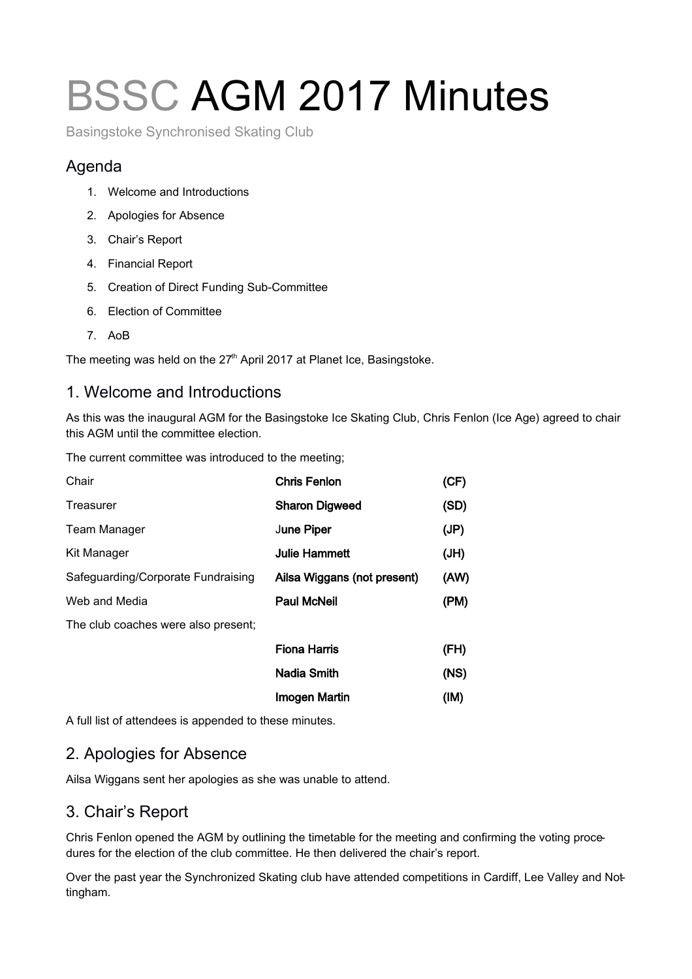# BSSC AGM 2017 Minutes

Basingstoke Synchronised Skating Club

# Agenda

- 1. Welcome and Introductions
- 2. Apologies for Absence
- 3. Chair's Report
- 4. Financial Report
- 5. Creation of Direct Funding Sub-Committee
- 6. Election of Committee
- 7. AoB

The meeting was held on the 27<sup>th</sup> April 2017 at Planet Ice, Basingstoke.

### 1. Welcome and Introductions

As this was the inaugural AGM for the Basingstoke Ice Skating Club, Chris Fenlon (Ice Age) agreed to chair this AGM until the committee election.

The current committee was introduced to the meeting;

| Chair                               | <b>Chris Fenlon</b>         | (CF) |
|-------------------------------------|-----------------------------|------|
| Treasurer                           | <b>Sharon Digweed</b>       | (SD) |
| <b>Team Manager</b>                 | June Piper                  | (JP) |
| Kit Manager                         | <b>Julie Hammett</b>        | (JH) |
| Safeguarding/Corporate Fundraising  | Ailsa Wiggans (not present) | (AW) |
| Web and Media                       | <b>Paul McNeil</b>          | (PM) |
| The club coaches were also present; |                             |      |
|                                     | <b>Fiona Harris</b>         | (FH) |
|                                     | <b>Nadia Smith</b>          | (NS) |
|                                     | <b>Imogen Martin</b>        | (IM) |

A full list of attendees is appended to these minutes.

# 2. Apologies for Absence

Ailsa Wiggans sent her apologies as she was unable to attend.

#### 3. Chair's Report

Chris Fenlon opened the AGM by outlining the timetable for the meeting and confirming the voting procedures for the election of the club committee. He then delivered the chair's report.

Over the past year the Synchronized Skating club have attended competitions in Cardiff, Lee Valley and Nottingham.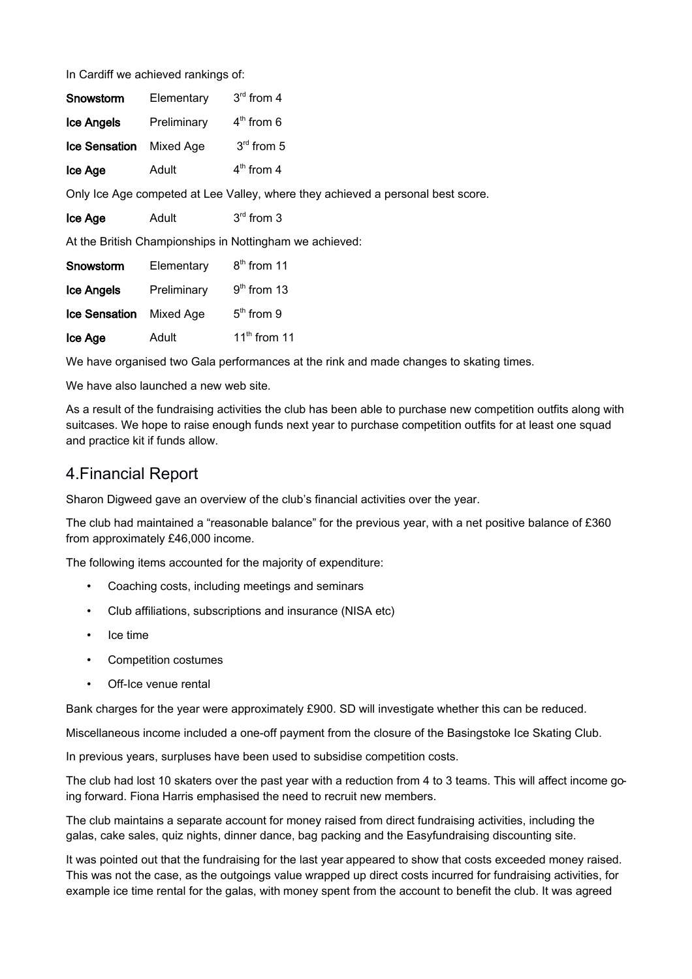In Cardiff we achieved rankings of:

| Snowstorm            | Elementary  | $3rd$ from 4 |
|----------------------|-------------|--------------|
| Ice Angels           | Preliminary | $4th$ from 6 |
| <b>Ice Sensation</b> | Mixed Age   | $3rd$ from 5 |
| Ice Age              | Adult       | $4th$ from 4 |

Only Ice Age competed at Lee Valley, where they achieved a personal best score.

| $3rd$ from 3 |
|--------------|
|              |

At the British Championships in Nottingham we achieved:

| Snowstorm            | Elementary  | $8th$ from 11  |
|----------------------|-------------|----------------|
| <b>Ice Angels</b>    | Preliminary | $9th$ from 13  |
| <b>Ice Sensation</b> | Mixed Age   | $5th$ from 9   |
| Ice Age              | Adult       | $11th$ from 11 |

We have organised two Gala performances at the rink and made changes to skating times.

We have also launched a new web site.

As a result of the fundraising activities the club has been able to purchase new competition outfits along with suitcases. We hope to raise enough funds next year to purchase competition outfits for at least one squad and practice kit if funds allow.

#### 4.Financial Report

Sharon Digweed gave an overview of the club's financial activities over the year.

The club had maintained a "reasonable balance" for the previous year, with a net positive balance of £360 from approximately £46,000 income.

The following items accounted for the majority of expenditure:

- Coaching costs, including meetings and seminars
- Club affiliations, subscriptions and insurance (NISA etc)
- Ice time
- Competition costumes
- Off-Ice venue rental

Bank charges for the year were approximately £900. SD will investigate whether this can be reduced.

Miscellaneous income included a one-off payment from the closure of the Basingstoke Ice Skating Club.

In previous years, surpluses have been used to subsidise competition costs.

The club had lost 10 skaters over the past year with a reduction from 4 to 3 teams. This will affect income going forward. Fiona Harris emphasised the need to recruit new members.

The club maintains a separate account for money raised from direct fundraising activities, including the galas, cake sales, quiz nights, dinner dance, bag packing and the Easyfundraising discounting site.

It was pointed out that the fundraising for the last year appeared to show that costs exceeded money raised. This was not the case, as the outgoings value wrapped up direct costs incurred for fundraising activities, for example ice time rental for the galas, with money spent from the account to benefit the club. It was agreed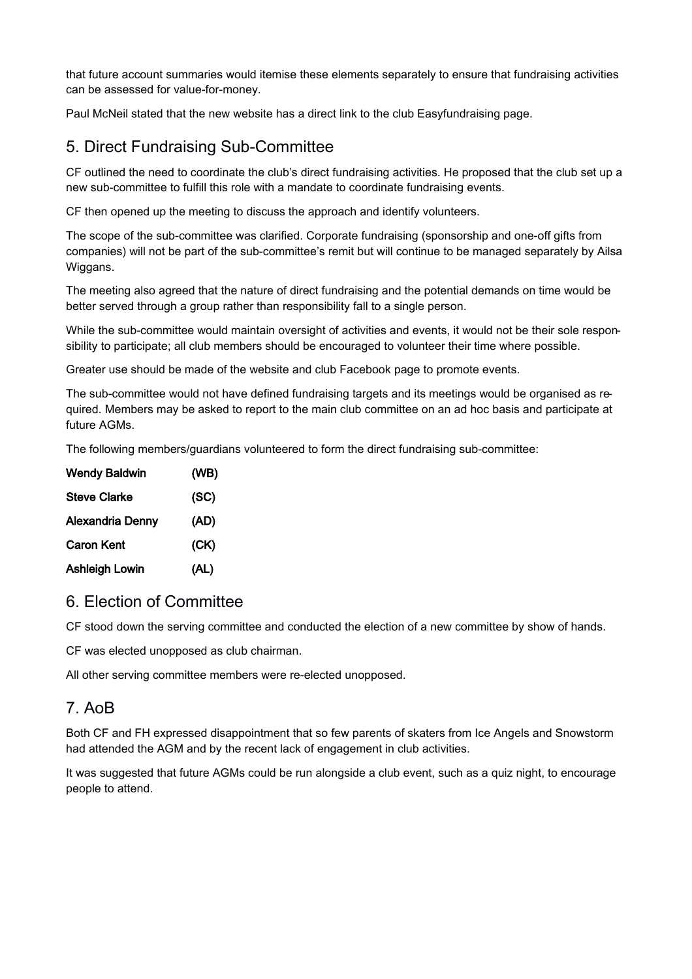that future account summaries would itemise these elements separately to ensure that fundraising activities can be assessed for value-for-money.

Paul McNeil stated that the new website has a direct link to the club Easyfundraising page.

# 5. Direct Fundraising Sub-Committee

CF outlined the need to coordinate the club's direct fundraising activities. He proposed that the club set up a new sub-committee to fulfill this role with a mandate to coordinate fundraising events.

CF then opened up the meeting to discuss the approach and identify volunteers.

The scope of the sub-committee was clarified. Corporate fundraising (sponsorship and one-off gifts from companies) will not be part of the sub-committee's remit but will continue to be managed separately by Ailsa Wiggans.

The meeting also agreed that the nature of direct fundraising and the potential demands on time would be better served through a group rather than responsibility fall to a single person.

While the sub-committee would maintain oversight of activities and events, it would not be their sole responsibility to participate; all club members should be encouraged to volunteer their time where possible.

Greater use should be made of the website and club Facebook page to promote events.

The sub-committee would not have defined fundraising targets and its meetings would be organised as required. Members may be asked to report to the main club committee on an ad hoc basis and participate at future AGMs.

The following members/guardians volunteered to form the direct fundraising sub-committee:

| <b>Wendy Baldwin</b>  | (WB) |
|-----------------------|------|
| <b>Steve Clarke</b>   | (SC) |
| Alexandria Denny      | (AD) |
| <b>Caron Kent</b>     | (CK) |
| <b>Ashleigh Lowin</b> | (AL) |

#### 6. Election of Committee

CF stood down the serving committee and conducted the election of a new committee by show of hands.

CF was elected unopposed as club chairman.

All other serving committee members were re-elected unopposed.

#### 7. AoB

Both CF and FH expressed disappointment that so few parents of skaters from Ice Angels and Snowstorm had attended the AGM and by the recent lack of engagement in club activities.

It was suggested that future AGMs could be run alongside a club event, such as a quiz night, to encourage people to attend.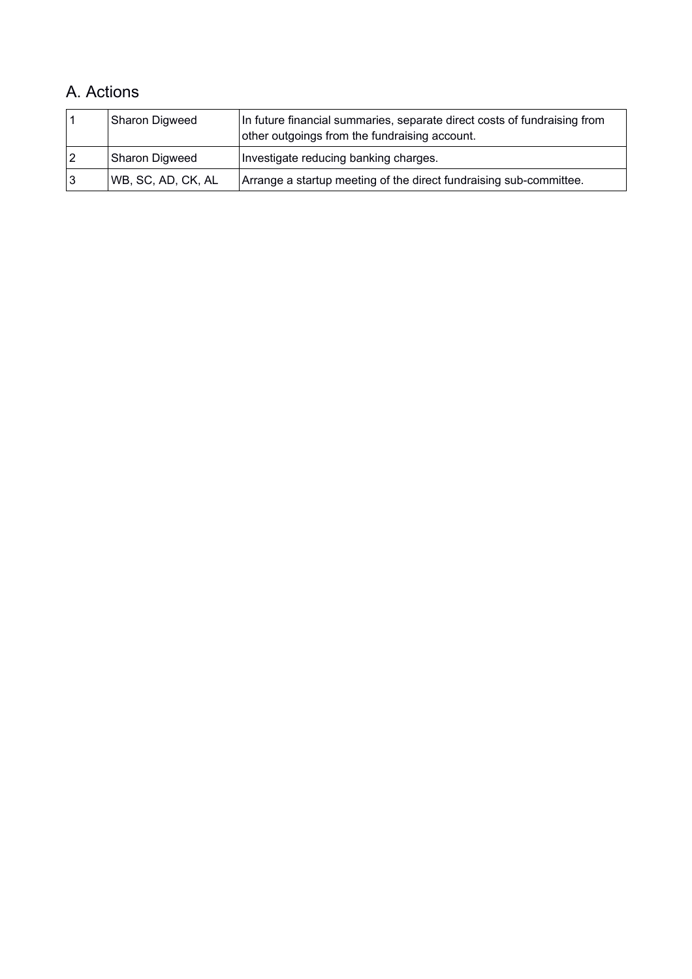# A. Actions

| Sharon Digweed     | In future financial summaries, separate direct costs of fundraising from<br>other outgoings from the fundraising account. |
|--------------------|---------------------------------------------------------------------------------------------------------------------------|
| Sharon Digweed     | Investigate reducing banking charges.                                                                                     |
| WB, SC, AD, CK, AL | Arrange a startup meeting of the direct fundraising sub-committee.                                                        |